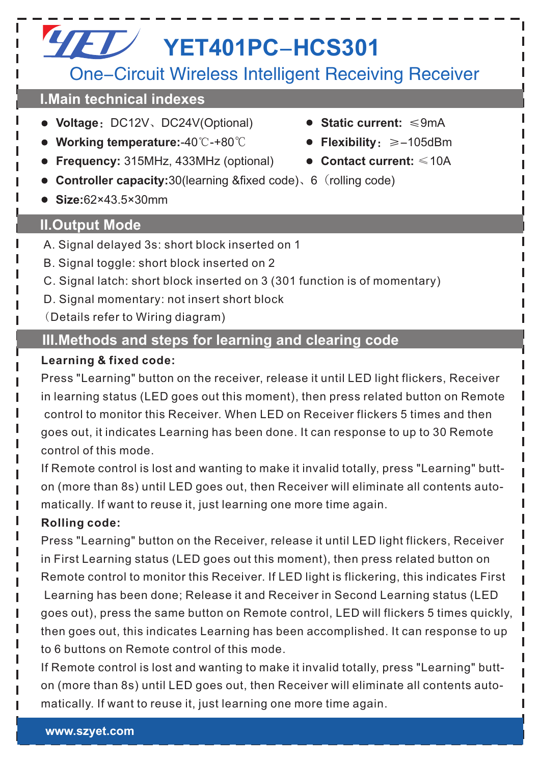# One-Circuit Wireless Intelligent Receiving Receiver **YET YET401PC-HCS301**

### **I.Main technical indexes**

- **Voltage**:DC12V、DC24V(Optional) **Static current:** ≤9mA
- **Working temperature:**-40℃-+80℃ **Flexibility**:≥-105dBm
- **Frequency:** 315MHz, 433MHz (optional)  **Contact current:** ≤10A
- 
- **Controller capacity:**30(learning &fixed code)、6 (rolling code)
- **Size:**62×43.5×30mm

# **II.Output Mode**

- A. Signal delayed 3s: short block inserted on 1
- B. Signal toggle: short block inserted on 2
- C. Signal latch: short block inserted on 3 (301 function is of momentary)
- D. Signal momentary: not insert short block
- (Details refer to Wiring diagram)

# **III.Methods and steps for learning and clearing code**

#### **Learning & fixed code:**

Press "Learning" button on the receiver, release it until LED light flickers, Receiver in learning status (LED goes out this moment), then press related button on Remote control to monitor this Receiver. When LED on Receiver flickers 5 times and then goes out, it indicates Learning has been done. It can response to up to 30 Remote control of this mode.

If Remote control is lost and wanting to make it invalid totally, press "Learning" button (more than 8s) until LED goes out, then Receiver will eliminate all contents automatically. If want to reuse it, just learning one more time again.

#### **Rolling code:**

Press "Learning" button on the Receiver, release it until LED light flickers, Receiver in First Learning status (LED goes out this moment), then press related button on Remote control to monitor this Receiver. If LED light is flickering, this indicates First Learning has been done; Release it and Receiver in Second Learning status (LED goes out), press the same button on Remote control, LED will flickers 5 times quickly, then goes out, this indicates Learning has been accomplished. It can response to up to 6 buttons on Remote control of this mode.

If Remote control is lost and wanting to make it invalid totally, press "Learning" button (more than 8s) until LED goes out, then Receiver will eliminate all contents automatically. If want to reuse it, just learning one more time again.